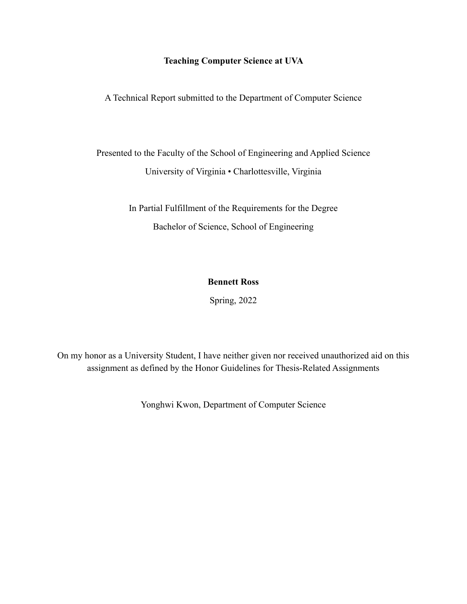# **Teaching Computer Science at UVA**

A Technical Report submitted to the Department of Computer Science

Presented to the Faculty of the School of Engineering and Applied Science University of Virginia • Charlottesville, Virginia

> In Partial Fulfillment of the Requirements for the Degree Bachelor of Science, School of Engineering

# **Bennett Ross**

Spring, 2022

On my honor as a University Student, I have neither given nor received unauthorized aid on this assignment as defined by the Honor Guidelines for Thesis-Related Assignments

Yonghwi Kwon, Department of Computer Science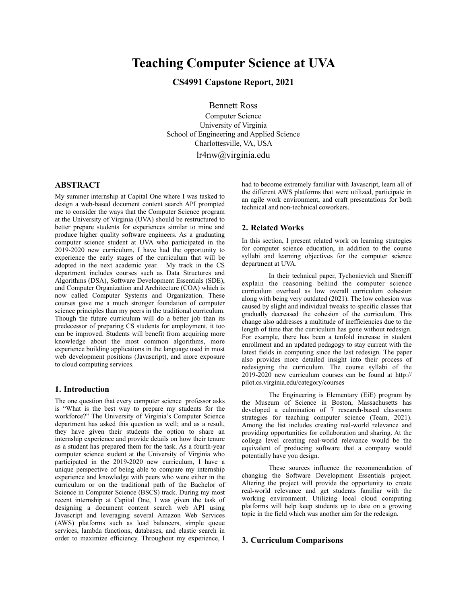# **Teaching Computer Science at UVA**

**CS4991 Capstone Report, 2021**

Bennett Ross

Computer Science University of Virginia School of Engineering and Applied Science Charlottesville, VA, USA lr4nw@virginia.edu

# **ABSTRACT**

My summer internship at Capital One where I was tasked to design a web-based document content search API prompted me to consider the ways that the Computer Science program at the University of Virginia (UVA) should be restructured to better prepare students for experiences similar to mine and produce higher quality software engineers. As a graduating computer science student at UVA who participated in the 2019-2020 new curriculum, I have had the opportunity to experience the early stages of the curriculum that will be adopted in the next academic year. My track in the CS department includes courses such as Data Structures and Algorithms (DSA), Software Development Essentials (SDE), and Computer Organization and Architecture (COA) which is now called Computer Systems and Organization. These courses gave me a much stronger foundation of computer science principles than my peers in the traditional curriculum. Though the future curriculum will do a better job than its predecessor of preparing CS students for employment, it too can be improved. Students will benefit from acquiring more knowledge about the most common algorithms, more experience building applications in the language used in most web development positions (Javascript), and more exposure to cloud computing services.

## **1. Introduction**

The one question that every computer science professor asks is "What is the best way to prepare my students for the workforce?" The University of Virginia's Computer Science department has asked this question as well; and as a result, they have given their students the option to share an internship experience and provide details on how their tenure as a student has prepared them for the task. As a fourth-year computer science student at the University of Virginia who participated in the 2019-2020 new curriculum, I have a unique perspective of being able to compare my internship experience and knowledge with peers who were either in the curriculum or on the traditional path of the Bachelor of Science in Computer Science (BSCS) track. During my most recent internship at Capital One, I was given the task of designing a document content search web API using Javascript and leveraging several Amazon Web Services (AWS) platforms such as load balancers, simple queue services, lambda functions, databases, and elastic search in order to maximize efficiency. Throughout my experience, I had to become extremely familiar with Javascript, learn all of the different AWS platforms that were utilized, participate in an agile work environment, and craft presentations for both technical and non-technical coworkers.

#### **2. Related Works**

In this section, I present related work on learning strategies for computer science education, in addition to the course syllabi and learning objectives for the computer science department at UVA.

In their technical paper, Tychonievich and Sherriff explain the reasoning behind the computer science curriculum overhaul as low overall curriculum cohesion along with being very outdated (2021). The low cohesion was caused by slight and individual tweaks to specific classes that gradually decreased the cohesion of the curriculum. This change also addresses a multitude of inefficiencies due to the length of time that the curriculum has gone without redesign. For example, there has been a tenfold increase in student enrollment and an updated pedagogy to stay current with the latest fields in computing since the last redesign. The paper also provides more detailed insight into their process of redesigning the curriculum. The course syllabi of the 2019-2020 new curriculum courses can be found at http:// pilot.cs.virginia.edu/category/courses

The Engineering is Elementary (EiE) program by the Museum of Science in Boston, Massachusetts has developed a culmination of 7 research-based classroom strategies for teaching computer science (Team, 2021). Among the list includes creating real-world relevance and providing opportunities for collaboration and sharing. At the college level creating real-world relevance would be the equivalent of producing software that a company would potentially have you design.

These sources influence the recommendation of changing the Software Development Essentials project. Altering the project will provide the opportunity to create real-world relevance and get students familiar with the working environment. Utilizing local cloud computing platforms will help keep students up to date on a growing topic in the field which was another aim for the redesign.

## **3. Curriculum Comparisons**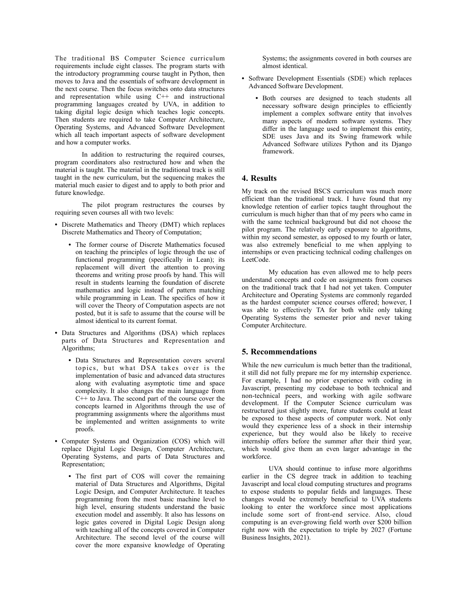The traditional BS Computer Science curriculum requirements include eight classes. The program starts with the introductory programming course taught in Python, then moves to Java and the essentials of software development in the next course. Then the focus switches onto data structures and representation while using C++ and instructional programming languages created by UVA, in addition to taking digital logic design which teaches logic concepts. Then students are required to take Computer Architecture, Operating Systems, and Advanced Software Development which all teach important aspects of software development and how a computer works.

In addition to restructuring the required courses, program coordinators also restructured how and when the material is taught. The material in the traditional track is still taught in the new curriculum, but the sequencing makes the material much easier to digest and to apply to both prior and future knowledge.

The pilot program restructures the courses by requiring seven courses all with two levels:

- **•** Discrete Mathematics and Theory (DMT) which replaces Discrete Mathematics and Theory of Computation;
	- **•** The former course of Discrete Mathematics focused on teaching the principles of logic through the use of functional programming (specifically in Lean); its replacement will divert the attention to proving theorems and writing prose proofs by hand. This will result in students learning the foundation of discrete mathematics and logic instead of pattern matching while programming in Lean. The specifics of how it will cover the Theory of Computation aspects are not posted, but it is safe to assume that the course will be almost identical to its current format.
- **•** Data Structures and Algorithms (DSA) which replaces parts of Data Structures and Representation and Algorithms;
	- **•** Data Structures and Representation covers several topics, but what DSA takes over is the implementation of basic and advanced data structures along with evaluating asymptotic time and space complexity. It also changes the main language from C++ to Java. The second part of the course cover the concepts learned in Algorithms through the use of programming assignments where the algorithms must be implemented and written assignments to write proofs.
- **•** Computer Systems and Organization (COS) which will replace Digital Logic Design, Computer Architecture, Operating Systems, and parts of Data Structures and Representation;
	- **•** The first part of COS will cover the remaining material of Data Structures and Algorithms, Digital Logic Design, and Computer Architecture. It teaches programming from the most basic machine level to high level, ensuring students understand the basic execution model and assembly. It also has lessons on logic gates covered in Digital Logic Design along with teaching all of the concepts covered in Computer Architecture. The second level of the course will cover the more expansive knowledge of Operating

Systems; the assignments covered in both courses are almost identical.

- **•** Software Development Essentials (SDE) which replaces Advanced Software Development.
	- **•** Both courses are designed to teach students all necessary software design principles to efficiently implement a complex software entity that involves many aspects of modern software systems. They differ in the language used to implement this entity, SDE uses Java and its Swing framework while Advanced Software utilizes Python and its Django framework.

#### **4. Results**

My track on the revised BSCS curriculum was much more efficient than the traditional track. I have found that my knowledge retention of earlier topics taught throughout the curriculum is much higher than that of my peers who came in with the same technical background but did not choose the pilot program. The relatively early exposure to algorithms, within my second semester, as opposed to my fourth or later, was also extremely beneficial to me when applying to internships or even practicing technical coding challenges on LeetCode.

My education has even allowed me to help peers understand concepts and code on assignments from courses on the traditional track that I had not yet taken. Computer Architecture and Operating Systems are commonly regarded as the hardest computer science courses offered; however, I was able to effectively TA for both while only taking Operating Systems the semester prior and never taking Computer Architecture.

#### **5. Recommendations**

While the new curriculum is much better than the traditional, it still did not fully prepare me for my internship experience. For example, I had no prior experience with coding in Javascript, presenting my codebase to both technical and non-technical peers, and working with agile software development. If the Computer Science curriculum was restructured just slightly more, future students could at least be exposed to these aspects of computer work. Not only would they experience less of a shock in their internship experience, but they would also be likely to receive internship offers before the summer after their third year, which would give them an even larger advantage in the workforce.

UVA should continue to infuse more algorithms earlier in the CS degree track in addition to teaching Javascript and local cloud computing structures and programs to expose students to popular fields and languages. These changes would be extremely beneficial to UVA students looking to enter the workforce since most applications include some sort of front-end service. Also, cloud computing is an ever-growing field worth over \$200 billion right now with the expectation to triple by 2027 (Fortune Business Insights, 2021).